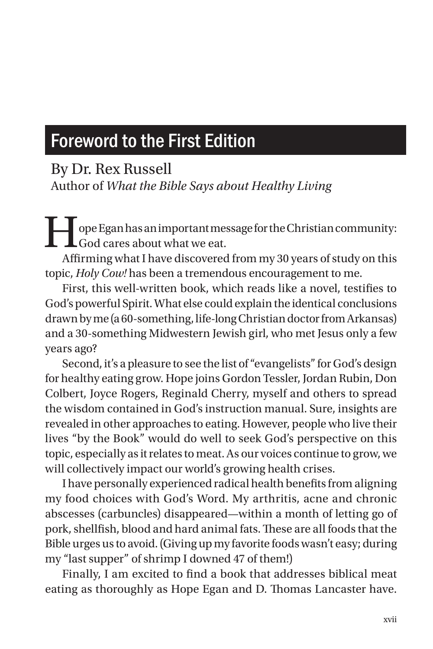## Foreword to the First Edition

By Dr. Rex Russell

Author of *What the Bible Says about Healthy Living*

 $\mid$  ope Egan has an important message for the Christian community: **L**God cares about what we eat.

Affirming what I have discovered from my 30 years of study on this topic, *Holy Cow!* has been a tremendous encouragement to me.

First, this well-written book, which reads like a novel, testifies to God's powerful Spirit. What else could explain the identical conclusions drawn by me (a 60-something, life-long Christian doctor from Arkansas) and a 30-something Midwestern Jewish girl, who met Jesus only a few years ago?

Second, it's a pleasure to see the list of "evangelists" for God's design for healthy eating grow. Hope joins Gordon Tessler, Jordan Rubin, Don Colbert, Joyce Rogers, Reginald Cherry, myself and others to spread the wisdom contained in God's instruction manual. Sure, insights are revealed in other approaches to eating. However, people who live their lives "by the Book" would do well to seek God's perspective on this topic, especially as it relates to meat. As our voices continue to grow, we will collectively impact our world's growing health crises.

I have personally experienced radical health benefits from aligning my food choices with God's Word. My arthritis, acne and chronic abscesses (carbuncles) disappeared—within a month of letting go of pork, shellfish, blood and hard animal fats. These are all foods that the Bible urges us to avoid. (Giving up my favorite foods wasn't easy; during my "last supper" of shrimp I downed 47 of them!)

Finally, I am excited to find a book that addresses biblical meat eating as thoroughly as Hope Egan and D. Thomas Lancaster have.